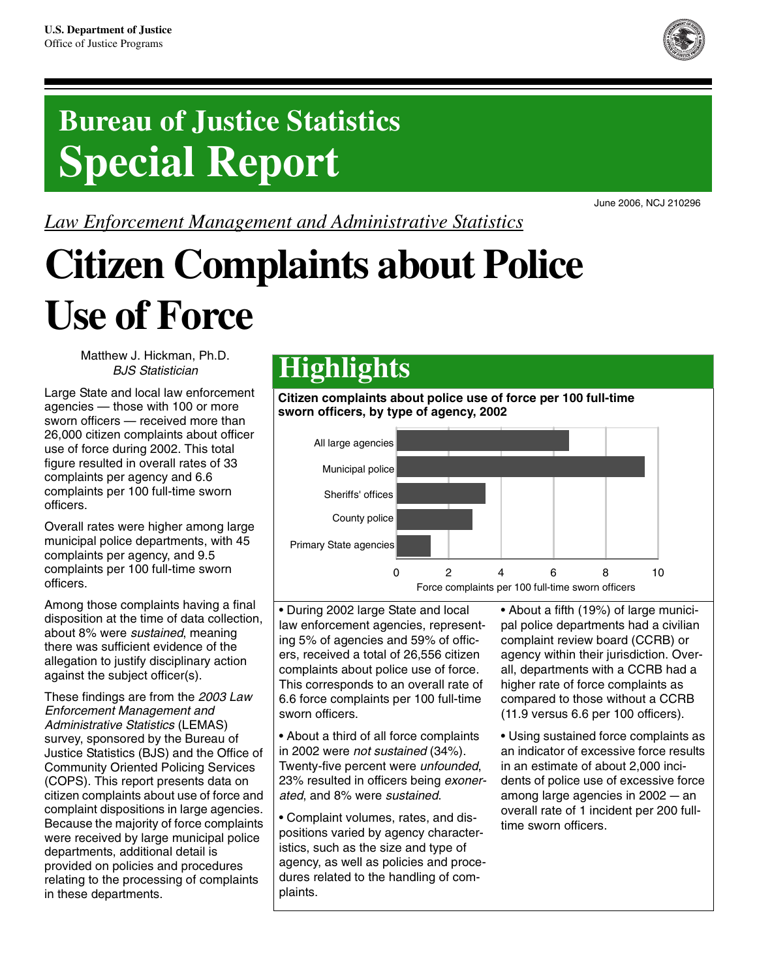

## **Bureau of Justice Statistics Special Report**

*Law Enforcement Management and Administrative Statistics*

# **Citizen Complaints about Police Use of Force**

Matthew J. Hickman, Ph.D. BJS Statistician

Large State and local law enforcement agencies — those with 100 or more sworn officers — received more than 26,000 citizen complaints about officer use of force during 2002. This total figure resulted in overall rates of 33 complaints per agency and 6.6 complaints per 100 full-time sworn officers.

Overall rates were higher among large municipal police departments, with 45 complaints per agency, and 9.5 complaints per 100 full-time sworn officers.

Among those complaints having a final disposition at the time of data collection, about 8% were sustained, meaning there was sufficient evidence of the allegation to justify disciplinary action against the subject officer(s).

These findings are from the 2003 Law Enforcement Management and Administrative Statistics (LEMAS) survey, sponsored by the Bureau of Justice Statistics (BJS) and the Office of Community Oriented Policing Services (COPS). This report presents data on citizen complaints about use of force and complaint dispositions in large agencies. Because the majority of force complaints were received by large municipal police departments, additional detail is provided on policies and procedures relating to the processing of complaints in these departments.

### **Highlights**

**Citizen complaints about police use of force per 100 full-time sworn officers, by type of agency, 2002** 



• During 2002 large State and local law enforcement agencies, representing 5% of agencies and 59% of officers, received a total of 26,556 citizen complaints about police use of force. This corresponds to an overall rate of 6.6 force complaints per 100 full-time sworn officers.

• About a third of all force complaints in 2002 were not sustained (34%). Twenty-five percent were unfounded, 23% resulted in officers being exonerated, and 8% were sustained.

• Complaint volumes, rates, and dispositions varied by agency characteristics, such as the size and type of agency, as well as policies and procedures related to the handling of complaints.

• About a fifth (19%) of large municipal police departments had a civilian complaint review board (CCRB) or agency within their jurisdiction. Overall, departments with a CCRB had a higher rate of force complaints as compared to those without a CCRB (11.9 versus 6.6 per 100 officers).

• Using sustained force complaints as an indicator of excessive force results in an estimate of about 2,000 incidents of police use of excessive force among large agencies in  $2002 - an$ overall rate of 1 incident per 200 fulltime sworn officers.

June 2006, NCJ 210296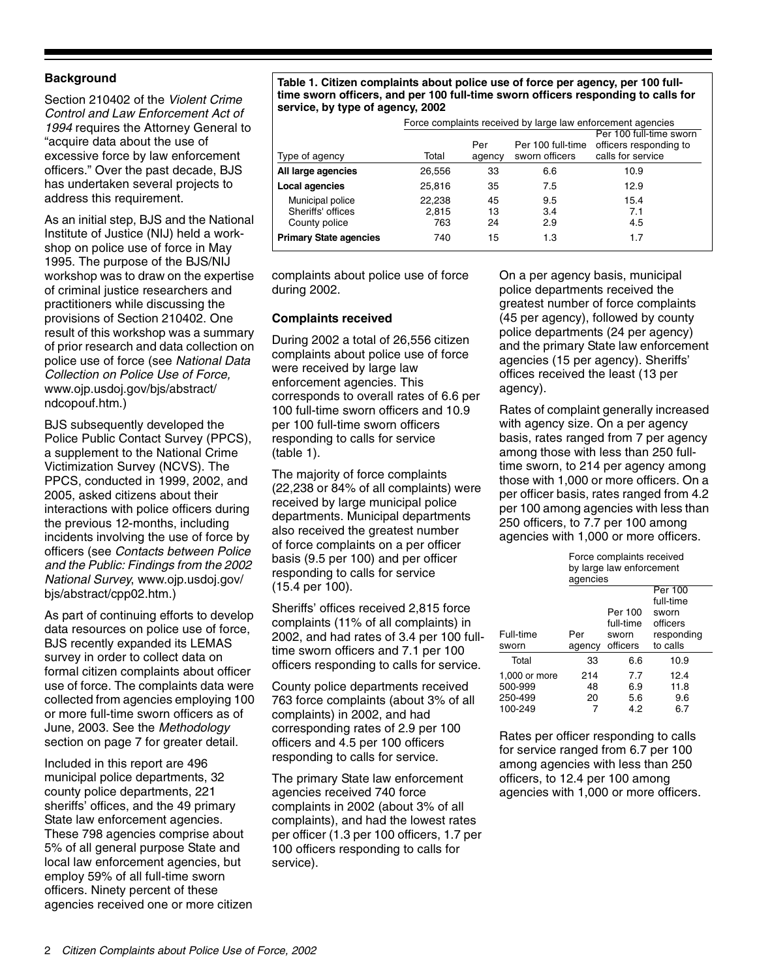#### **Background**

Section 210402 of the Violent Crime Control and Law Enforcement Act of 1994 requires the Attorney General to "acquire data about the use of excessive force by law enforcement officers." Over the past decade, BJS has undertaken several projects to address this requirement.

As an initial step, BJS and the National Institute of Justice (NIJ) held a workshop on police use of force in May 1995. The purpose of the BJS/NIJ workshop was to draw on the expertise of criminal justice researchers and practitioners while discussing the provisions of Section 210402. One result of this workshop was a summary of prior research and data collection on police use of force (see National Data Collection on Police Use of Force, www.ojp.usdoj.gov/bjs/abstract/ ndcopouf.htm.)

BJS subsequently developed the Police Public Contact Survey (PPCS), a supplement to the National Crime Victimization Survey (NCVS). The PPCS, conducted in 1999, 2002, and 2005, asked citizens about their interactions with police officers during the previous 12-months, including incidents involving the use of force by officers (see Contacts between Police and the Public: Findings from the 2002 National Survey, www.ojp.usdoj.gov/ bjs/abstract/cpp02.htm.)

As part of continuing efforts to develop data resources on police use of force, BJS recently expanded its LEMAS survey in order to collect data on formal citizen complaints about officer use of force. The complaints data were collected from agencies employing 100 or more full-time sworn officers as of June, 2003. See the Methodology section on page 7 for greater detail.

Included in this report are 496 municipal police departments, 32 county police departments, 221 sheriffs' offices, and the 49 primary State law enforcement agencies. These 798 agencies comprise about 5% of all general purpose State and local law enforcement agencies, but employ 59% of all full-time sworn officers. Ninety percent of these agencies received one or more citizen

**Table 1. Citizen complaints about police use of force per agency, per 100 fulltime sworn officers, and per 100 full-time sworn officers responding to calls for service, by type of agency, 2002**

|                               |        | Force complaints received by large law enforcement agencies |                                     |                                                                        |  |  |  |  |
|-------------------------------|--------|-------------------------------------------------------------|-------------------------------------|------------------------------------------------------------------------|--|--|--|--|
| Type of agency                | Total  | Per<br>agency                                               | Per 100 full-time<br>sworn officers | Per 100 full-time sworn<br>officers responding to<br>calls for service |  |  |  |  |
| All large agencies            | 26,556 | 33                                                          | 6.6                                 | 10.9                                                                   |  |  |  |  |
| Local agencies                | 25,816 | 35                                                          | 7.5                                 | 12.9                                                                   |  |  |  |  |
| Municipal police              | 22,238 | 45                                                          | 9.5                                 | 15.4                                                                   |  |  |  |  |
| Sheriffs' offices             | 2.815  | 13                                                          | 3.4                                 | 7.1                                                                    |  |  |  |  |
| County police                 | 763    | 24                                                          | 2.9                                 | 4.5                                                                    |  |  |  |  |
| <b>Primary State agencies</b> | 740    | 15                                                          | 1.3                                 | 1.7                                                                    |  |  |  |  |

complaints about police use of force during 2002.

#### **Complaints received**

During 2002 a total of 26,556 citizen complaints about police use of force were received by large law enforcement agencies. This corresponds to overall rates of 6.6 per 100 full-time sworn officers and 10.9 per 100 full-time sworn officers responding to calls for service (table 1).

The majority of force complaints (22,238 or 84% of all complaints) were received by large municipal police departments. Municipal departments also received the greatest number of force complaints on a per officer basis (9.5 per 100) and per officer responding to calls for service (15.4 per 100).

Sheriffs' offices received 2,815 force complaints (11% of all complaints) in 2002, and had rates of 3.4 per 100 fulltime sworn officers and 7.1 per 100 officers responding to calls for service.

County police departments received 763 force complaints (about 3% of all complaints) in 2002, and had corresponding rates of 2.9 per 100 officers and 4.5 per 100 officers responding to calls for service.

The primary State law enforcement agencies received 740 force complaints in 2002 (about 3% of all complaints), and had the lowest rates per officer (1.3 per 100 officers, 1.7 per 100 officers responding to calls for service).

On a per agency basis, municipal police departments received the greatest number of force complaints (45 per agency), followed by county police departments (24 per agency) and the primary State law enforcement agencies (15 per agency). Sheriffs' offices received the least (13 per agency).

Rates of complaint generally increased with agency size. On a per agency basis, rates ranged from 7 per agency among those with less than 250 fulltime sworn, to 214 per agency among those with 1,000 or more officers. On a per officer basis, rates ranged from 4.2 per 100 among agencies with less than 250 officers, to 7.7 per 100 among agencies with 1,000 or more officers.

|               | Force complaints received<br>by large law enforcement<br>agencies |           |            |  |  |  |
|---------------|-------------------------------------------------------------------|-----------|------------|--|--|--|
|               |                                                                   |           | Per 100    |  |  |  |
|               |                                                                   |           | full-time  |  |  |  |
|               |                                                                   | Per 100   | sworn      |  |  |  |
|               |                                                                   | full-time | officers   |  |  |  |
| Full-time     | Per                                                               | sworn     | responding |  |  |  |
| sworn         | agency                                                            | officers  | to calls   |  |  |  |
| Total         | 33                                                                | 6.6       | 10.9       |  |  |  |
| 1,000 or more | 214                                                               | 7.7       | 12.4       |  |  |  |
| 500-999       | 48                                                                | 6.9       | 11.8       |  |  |  |
| 250-499       | 20                                                                | 5.6       | 9.6        |  |  |  |
| 100-249       |                                                                   | 4.2       | 6.7        |  |  |  |

Rates per officer responding to calls for service ranged from 6.7 per 100 among agencies with less than 250 officers, to 12.4 per 100 among agencies with 1,000 or more officers.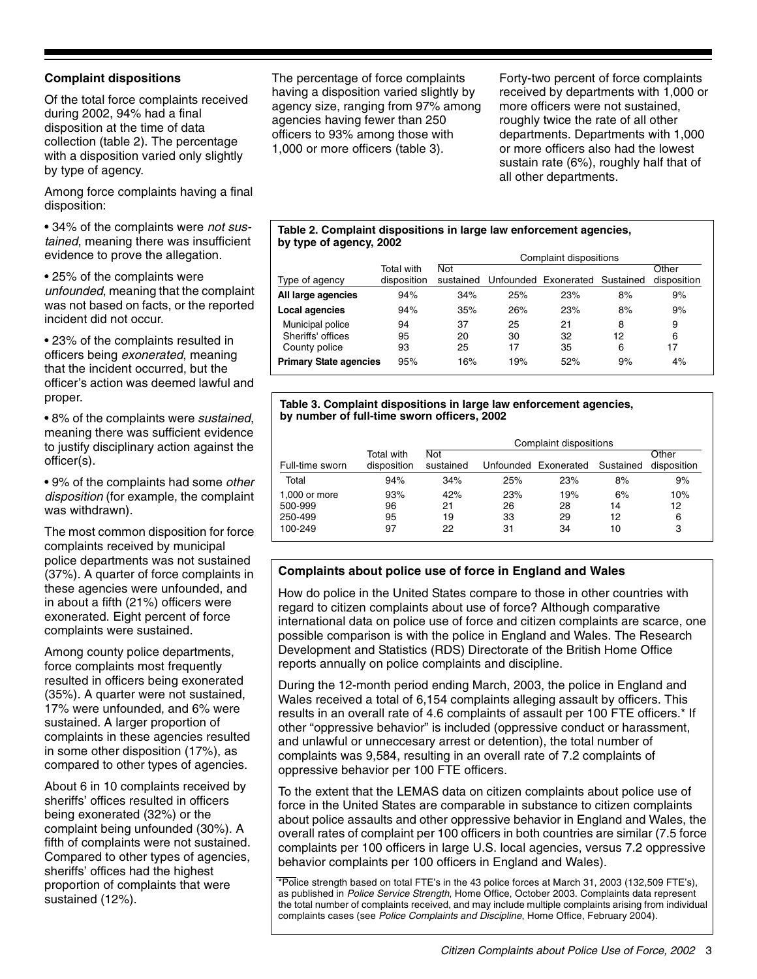#### **Complaint dispositions**

Of the total force complaints received during 2002, 94% had a final disposition at the time of data collection (table 2). The percentage with a disposition varied only slightly by type of agency.

Among force complaints having a final disposition:

• 34% of the complaints were not sustained, meaning there was insufficient evidence to prove the allegation.

• 25% of the complaints were unfounded, meaning that the complaint was not based on facts, or the reported incident did not occur.

• 23% of the complaints resulted in officers being exonerated, meaning that the incident occurred, but the officer's action was deemed lawful and proper.

• 8% of the complaints were *sustained*, meaning there was sufficient evidence to justify disciplinary action against the officer(s).

• 9% of the complaints had some *other* disposition (for example, the complaint was withdrawn).

The most common disposition for force complaints received by municipal police departments was not sustained (37%). A quarter of force complaints in these agencies were unfounded, and in about a fifth (21%) officers were exonerated. Eight percent of force complaints were sustained.

Among county police departments, force complaints most frequently resulted in officers being exonerated (35%). A quarter were not sustained, 17% were unfounded, and 6% were sustained. A larger proportion of complaints in these agencies resulted in some other disposition (17%), as compared to other types of agencies.

About 6 in 10 complaints received by sheriffs' offices resulted in officers being exonerated (32%) or the complaint being unfounded (30%). A fifth of complaints were not sustained. Compared to other types of agencies, sheriffs' offices had the highest proportion of complaints that were sustained (12%).

The percentage of force complaints having a disposition varied slightly by agency size, ranging from 97% among agencies having fewer than 250 officers to 93% among those with 1,000 or more officers (table 3).

Forty-two percent of force complaints received by departments with 1,000 or more officers were not sustained, roughly twice the rate of all other departments. Departments with 1,000 or more officers also had the lowest sustain rate (6%), roughly half that of all other departments.

#### **Table 2. Complaint dispositions in large law enforcement agencies, by type of agency, 2002**

|                                                        |                           | Complaint dispositions  |                |                      |              |                      |  |
|--------------------------------------------------------|---------------------------|-------------------------|----------------|----------------------|--------------|----------------------|--|
| Type of agency                                         | Total with<br>disposition | <b>Not</b><br>sustained |                | Unfounded Exonerated | Sustained    | Other<br>disposition |  |
| All large agencies                                     | 94%                       | 34%                     | 25%            | 23%                  | 8%           | 9%                   |  |
| Local agencies                                         | 94%                       | 35%                     | 26%            | 23%                  | 8%           | 9%                   |  |
| Municipal police<br>Sheriffs' offices<br>County police | 94<br>95<br>93            | 37<br>20<br>25          | 25<br>30<br>17 | 21<br>32<br>35       | 8<br>12<br>6 | 9<br>6<br>17         |  |
| <b>Primary State agencies</b>                          | 95%                       | 16%                     | 19%            | 52%                  | 9%           | 4%                   |  |

#### **Table 3. Complaint dispositions in large law enforcement agencies, by number of full-time sworn officers, 2002**

|                                                |                           | Complaint dispositions  |                       |                       |                      |                      |  |
|------------------------------------------------|---------------------------|-------------------------|-----------------------|-----------------------|----------------------|----------------------|--|
| Full-time sworn                                | Total with<br>disposition | <b>Not</b><br>sustained |                       | Unfounded Exonerated  | Sustained            | Other<br>disposition |  |
| Total                                          | 94%                       | 34%                     | 25%                   | 23%                   | 8%                   | 9%                   |  |
| 1.000 or more<br>500-999<br>250-499<br>100-249 | 93%<br>96<br>95<br>97     | 42%<br>21<br>19<br>22   | 23%<br>26<br>33<br>31 | 19%<br>28<br>29<br>34 | 6%<br>14<br>12<br>10 | 10%<br>12<br>6<br>3  |  |

#### **Complaints about police use of force in England and Wales**

How do police in the United States compare to those in other countries with regard to citizen complaints about use of force? Although comparative international data on police use of force and citizen complaints are scarce, one possible comparison is with the police in England and Wales. The Research Development and Statistics (RDS) Directorate of the British Home Office reports annually on police complaints and discipline.

During the 12-month period ending March, 2003, the police in England and Wales received a total of 6,154 complaints alleging assault by officers. This results in an overall rate of 4.6 complaints of assault per 100 FTE officers.\* If other "oppressive behavior" is included (oppressive conduct or harassment, and unlawful or unneccesary arrest or detention), the total number of complaints was 9,584, resulting in an overall rate of 7.2 complaints of oppressive behavior per 100 FTE officers.

To the extent that the LEMAS data on citizen complaints about police use of force in the United States are comparable in substance to citizen complaints about police assaults and other oppressive behavior in England and Wales, the overall rates of complaint per 100 officers in both countries are similar (7.5 force complaints per 100 officers in large U.S. local agencies, versus 7.2 oppressive behavior complaints per 100 officers in England and Wales).

\*Police strength based on total FTE's in the 43 police forces at March 31, 2003 (132,509 FTE's), as published in Police Service Strength, Home Office, October 2003. Complaints data represent the total number of complaints received, and may include multiple complaints arising from individual complaints cases (see Police Complaints and Discipline, Home Office, February 2004).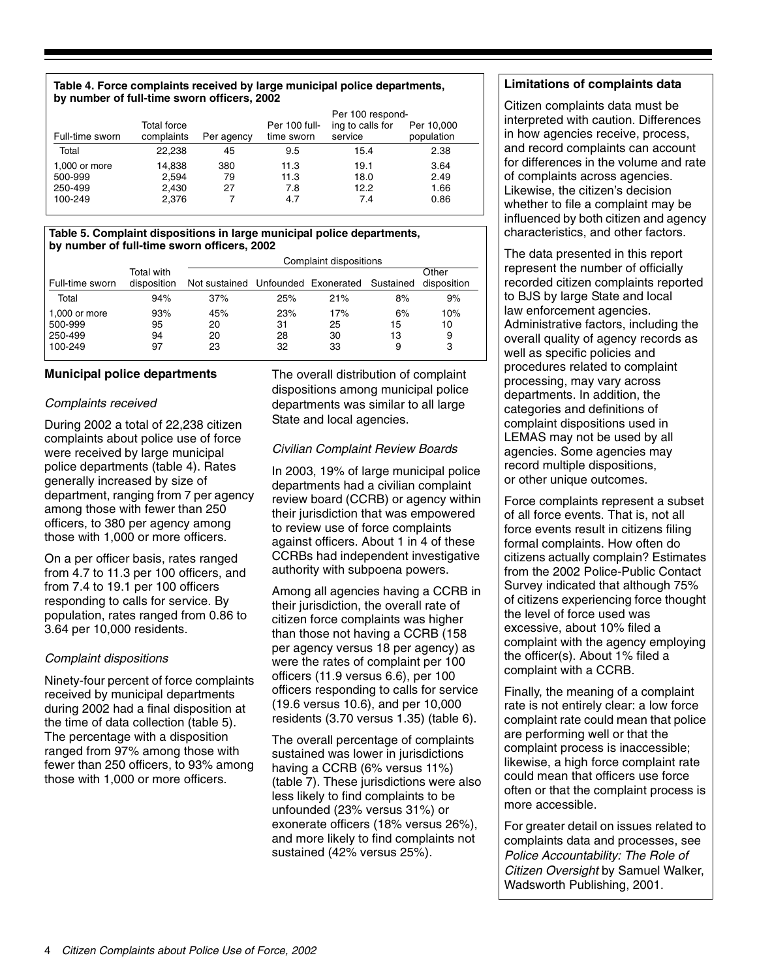#### **Table 4. Force complaints received by large municipal police departments, by number of full-time sworn officers, 2002**

|                 |             |            |               | Per 100 respond- |            |
|-----------------|-------------|------------|---------------|------------------|------------|
|                 | Total force |            | Per 100 full- | ing to calls for | Per 10,000 |
| Full-time sworn | complaints  | Per agency | time sworn    | service          | population |
| Total           | 22.238      | 45         | 9.5           | 15.4             | 2.38       |
| 1,000 or more   | 14,838      | 380        | 11.3          | 19.1             | 3.64       |
| 500-999         | 2,594       | 79         | 11.3          | 18.0             | 2.49       |
| 250-499         | 2,430       | 27         | 7.8           | 12.2             | 1.66       |
| 100-249         | 2,376       |            | 4.7           | 7.4              | 0.86       |

#### **Table 5. Complaint dispositions in large municipal police departments, by number of full-time sworn officers, 2002**

|                 |                           | Complaint dispositions                       |     |     |    |                      |  |
|-----------------|---------------------------|----------------------------------------------|-----|-----|----|----------------------|--|
| Full-time sworn | Total with<br>disposition | Not sustained Unfounded Exonerated Sustained |     |     |    | Other<br>disposition |  |
| Total           | 94%                       | 37%                                          | 25% | 21% | 8% | 9%                   |  |
| 1,000 or more   | 93%                       | 45%                                          | 23% | 17% | 6% | 10%                  |  |
| 500-999         | 95                        | 20                                           | 31  | 25  | 15 | 10                   |  |
| 250-499         | 94                        | 20                                           | 28  | 30  | 13 | 9                    |  |
| 100-249         | 97                        | 23                                           | 32  | 33  | 9  | 3                    |  |

#### **Municipal police departments**

#### Complaints received

During 2002 a total of 22,238 citizen complaints about police use of force were received by large municipal police departments (table 4). Rates generally increased by size of department, ranging from 7 per agency among those with fewer than 250 officers, to 380 per agency among those with 1,000 or more officers.

On a per officer basis, rates ranged from 4.7 to 11.3 per 100 officers, and from 7.4 to 19.1 per 100 officers responding to calls for service. By population, rates ranged from 0.86 to 3.64 per 10,000 residents.

#### Complaint dispositions

Ninety-four percent of force complaints received by municipal departments during 2002 had a final disposition at the time of data collection (table 5). The percentage with a disposition ranged from 97% among those with fewer than 250 officers, to 93% among those with 1,000 or more officers.

The overall distribution of complaint dispositions among municipal police departments was similar to all large State and local agencies.

#### Civilian Complaint Review Boards

In 2003, 19% of large municipal police departments had a civilian complaint review board (CCRB) or agency within their jurisdiction that was empowered to review use of force complaints against officers. About 1 in 4 of these CCRBs had independent investigative authority with subpoena powers.

Among all agencies having a CCRB in their jurisdiction, the overall rate of citizen force complaints was higher than those not having a CCRB (158 per agency versus 18 per agency) as were the rates of complaint per 100 officers (11.9 versus 6.6), per 100 officers responding to calls for service (19.6 versus 10.6), and per 10,000 residents (3.70 versus 1.35) (table 6).

The overall percentage of complaints sustained was lower in jurisdictions having a CCRB (6% versus 11%) (table 7). These jurisdictions were also less likely to find complaints to be unfounded (23% versus 31%) or exonerate officers (18% versus 26%), and more likely to find complaints not sustained (42% versus 25%).

#### **Limitations of complaints data**

Citizen complaints data must be interpreted with caution. Differences in how agencies receive, process, and record complaints can account for differences in the volume and rate of complaints across agencies. Likewise, the citizen's decision whether to file a complaint may be influenced by both citizen and agency characteristics, and other factors.

The data presented in this report represent the number of officially recorded citizen complaints reported to BJS by large State and local law enforcement agencies. Administrative factors, including the overall quality of agency records as well as specific policies and procedures related to complaint processing, may vary across departments. In addition, the categories and definitions of complaint dispositions used in LEMAS may not be used by all agencies. Some agencies may record multiple dispositions, or other unique outcomes.

Force complaints represent a subset of all force events. That is, not all force events result in citizens filing formal complaints. How often do citizens actually complain? Estimates from the 2002 Police-Public Contact Survey indicated that although 75% of citizens experiencing force thought the level of force used was excessive, about 10% filed a complaint with the agency employing the officer(s). About 1% filed a complaint with a CCRB.

Finally, the meaning of a complaint rate is not entirely clear: a low force complaint rate could mean that police are performing well or that the complaint process is inaccessible; likewise, a high force complaint rate could mean that officers use force often or that the complaint process is more accessible.

For greater detail on issues related to complaints data and processes, see Police Accountability: The Role of Citizen Oversight by Samuel Walker, Wadsworth Publishing, 2001.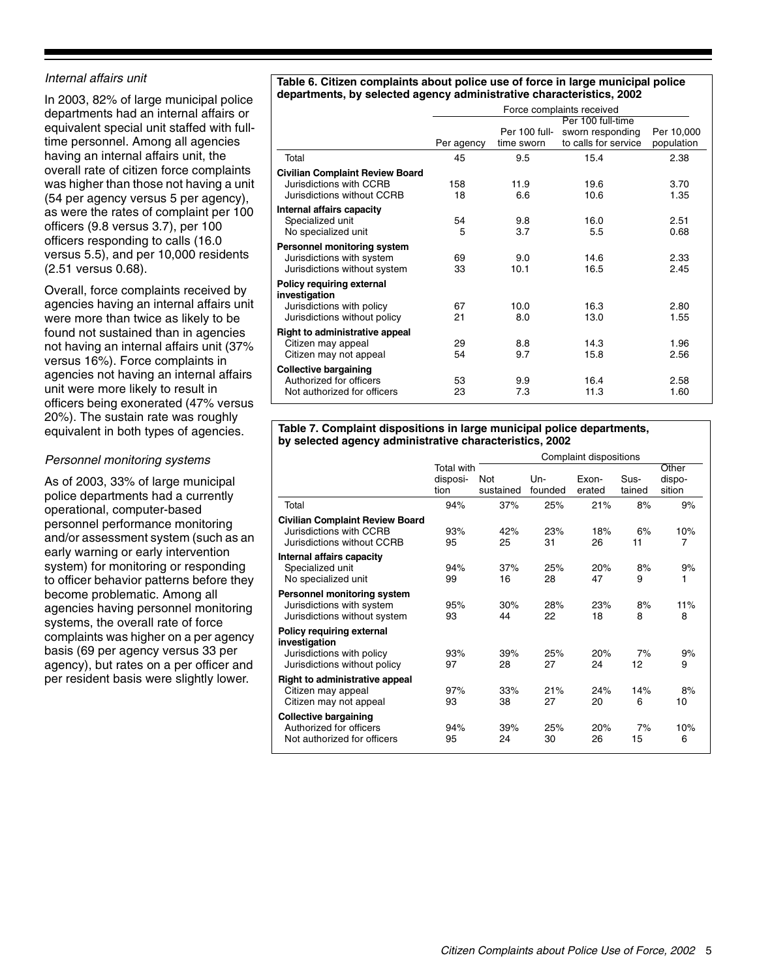#### Internal affairs unit

In 2003, 82% of large municipal police departments had an internal affairs or equivalent special unit staffed with fulltime personnel. Among all agencies having an internal affairs unit, the overall rate of citizen force complaints was higher than those not having a unit (54 per agency versus 5 per agency), as were the rates of complaint per 100 officers (9.8 versus 3.7), per 100 officers responding to calls (16.0 versus 5.5), and per 10,000 residents (2.51 versus 0.68).

Overall, force complaints received by agencies having an internal affairs unit were more than twice as likely to be found not sustained than in agencies not having an internal affairs unit (37% versus 16%). Force complaints in agencies not having an internal affairs unit were more likely to result in officers being exonerated (47% versus 20%). The sustain rate was roughly equivalent in both types of agencies.

#### Personnel monitoring systems

As of 2003, 33% of large municipal police departments had a currently operational, computer-based personnel performance monitoring and/or assessment system (such as an early warning or early intervention system) for monitoring or responding to officer behavior patterns before they become problematic. Among all agencies having personnel monitoring systems, the overall rate of force complaints was higher on a per agency basis (69 per agency versus 33 per agency), but rates on a per officer and per resident basis were slightly lower.

#### **Table 6. Citizen complaints about police use of force in large municipal police departments, by selected agency administrative characteristics, 2002**

|                                        | Force complaints received |                             |                                          |                          |  |  |
|----------------------------------------|---------------------------|-----------------------------|------------------------------------------|--------------------------|--|--|
|                                        | Per 100 full-time         |                             |                                          |                          |  |  |
|                                        | Per agency                | Per 100 full-<br>time sworn | sworn responding<br>to calls for service | Per 10,000<br>population |  |  |
| Total                                  | 45                        | 9.5                         | 15.4                                     | 2.38                     |  |  |
| <b>Civilian Complaint Review Board</b> |                           |                             |                                          |                          |  |  |
| Jurisdictions with CCRB                | 158                       | 11.9                        | 19.6                                     | 3.70                     |  |  |
| Jurisdictions without CCRB             | 18                        | 6.6                         | 10.6                                     | 1.35                     |  |  |
| Internal affairs capacity              |                           |                             |                                          |                          |  |  |
| Specialized unit                       | 54                        | 9.8                         | 16.0                                     | 2.51                     |  |  |
| No specialized unit                    | 5                         | 3.7                         | 5.5                                      | 0.68                     |  |  |
| Personnel monitoring system            |                           |                             |                                          |                          |  |  |
| Jurisdictions with system              | 69                        | 9.0                         | 14.6                                     | 2.33                     |  |  |
| Jurisdictions without system           | 33                        | 10.1                        | 16.5                                     | 2.45                     |  |  |
| Policy requiring external              |                           |                             |                                          |                          |  |  |
| investigation                          |                           |                             |                                          |                          |  |  |
| Jurisdictions with policy              | 67                        | 10.0                        | 16.3                                     | 2.80                     |  |  |
| Jurisdictions without policy           | 21                        | 8.0                         | 13.0                                     | 1.55                     |  |  |
| <b>Right to administrative appeal</b>  |                           |                             |                                          |                          |  |  |
| Citizen may appeal                     | 29                        | 8.8                         | 14.3                                     | 1.96                     |  |  |
| Citizen may not appeal                 | 54                        | 9.7                         | 15.8                                     | 2.56                     |  |  |
| <b>Collective bargaining</b>           |                           |                             |                                          |                          |  |  |
| Authorized for officers                | 53                        | 9.9                         | 16.4                                     | 2.58                     |  |  |
| Not authorized for officers            | 23                        | 7.3                         | 11.3                                     | 1.60                     |  |  |

#### **Table 7. Complaint dispositions in large municipal police departments, by selected agency administrative characteristics, 2002**

|                                                                                                         | Complaint dispositions                |                         |                |                 |                |                           |
|---------------------------------------------------------------------------------------------------------|---------------------------------------|-------------------------|----------------|-----------------|----------------|---------------------------|
|                                                                                                         | <b>Total with</b><br>disposi-<br>tion | <b>Not</b><br>sustained | Un-<br>founded | Exon-<br>erated | Sus-<br>tained | Other<br>dispo-<br>sition |
| Total                                                                                                   | 94%                                   | 37%                     | 25%            | 21%             | 8%             | 9%                        |
| <b>Civilian Complaint Review Board</b><br>Jurisdictions with CCRB<br>Jurisdictions without CCRB         | 93%<br>95                             | 42%<br>25               | 23%<br>31      | 18%<br>26       | 6%<br>11       | 10%<br>7                  |
| Internal affairs capacity<br>Specialized unit<br>No specialized unit                                    | 94%<br>99                             | 37%<br>16               | 25%<br>28      | 20%<br>47       | 8%<br>9        | 9%<br>1                   |
| Personnel monitoring system<br>Jurisdictions with system<br>Jurisdictions without system                | 95%<br>93                             | 30%<br>44               | 28%<br>22      | 23%<br>18       | 8%<br>8        | 11%<br>8                  |
| Policy requiring external<br>investigation<br>Jurisdictions with policy<br>Jurisdictions without policy | 93%<br>97                             | 39%<br>28               | 25%<br>27      | 20%<br>24       | 7%<br>12       | 9%<br>9                   |
| <b>Right to administrative appeal</b><br>Citizen may appeal<br>Citizen may not appeal                   | 97%<br>93                             | 33%<br>38               | 21%<br>27      | 24%<br>20       | 14%<br>6       | 8%<br>10                  |
| <b>Collective bargaining</b><br>Authorized for officers<br>Not authorized for officers                  | 94%<br>95                             | 39%<br>24               | 25%<br>30      | 20%<br>26       | 7%<br>15       | 10%<br>6                  |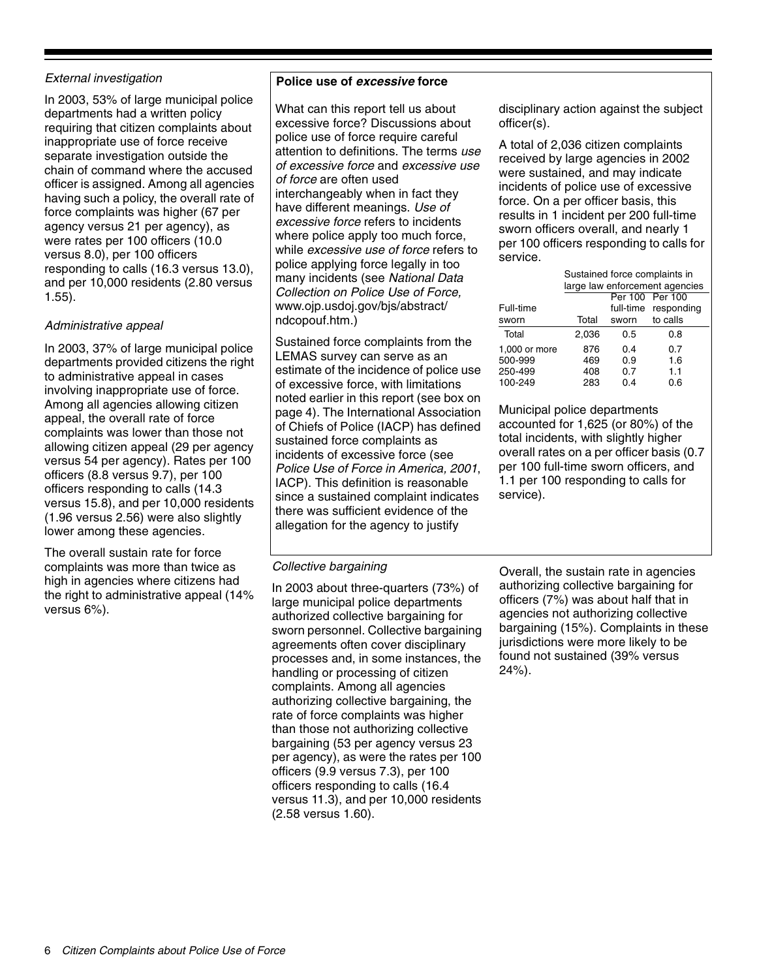#### External investigation

In 2003, 53% of large municipal police departments had a written policy requiring that citizen complaints about inappropriate use of force receive separate investigation outside the chain of command where the accused officer is assigned. Among all agencies having such a policy, the overall rate of force complaints was higher (67 per agency versus 21 per agency), as were rates per 100 officers (10.0 versus 8.0), per 100 officers responding to calls (16.3 versus 13.0), and per 10,000 residents (2.80 versus 1.55).

#### Administrative appeal

In 2003, 37% of large municipal police departments provided citizens the right to administrative appeal in cases involving inappropriate use of force. Among all agencies allowing citizen appeal, the overall rate of force complaints was lower than those not allowing citizen appeal (29 per agency versus 54 per agency). Rates per 100 officers (8.8 versus 9.7), per 100 officers responding to calls (14.3 versus 15.8), and per 10,000 residents (1.96 versus 2.56) were also slightly lower among these agencies.

The overall sustain rate for force complaints was more than twice as high in agencies where citizens had the right to administrative appeal (14% versus 6%).

#### **Police use of excessive force**

What can this report tell us about excessive force? Discussions about police use of force require careful attention to definitions. The terms use of excessive force and excessive use of force are often used interchangeably when in fact they have different meanings. Use of excessive force refers to incidents where police apply too much force, while excessive use of force refers to police applying force legally in too many incidents (see National Data Collection on Police Use of Force, www.ojp.usdoj.gov/bjs/abstract/ ndcopouf.htm.)

Sustained force complaints from the LEMAS survey can serve as an estimate of the incidence of police use of excessive force, with limitations noted earlier in this report (see box on page 4). The International Association of Chiefs of Police (IACP) has defined sustained force complaints as incidents of excessive force (see Police Use of Force in America, 2001, IACP). This definition is reasonable since a sustained complaint indicates there was sufficient evidence of the allegation for the agency to justify

disciplinary action against the subject officer(s).

A total of 2,036 citizen complaints received by large agencies in 2002 were sustained, and may indicate incidents of police use of excessive force. On a per officer basis, this results in 1 incident per 200 full-time sworn officers overall, and nearly 1 per 100 officers responding to calls for service.

|               | Sustained force complaints in  |       |                      |  |  |  |
|---------------|--------------------------------|-------|----------------------|--|--|--|
|               | large law enforcement agencies |       |                      |  |  |  |
|               |                                |       | Per 100 Per 100      |  |  |  |
| Full-time     |                                |       | full-time responding |  |  |  |
| sworn         | Total                          | sworn | to calls             |  |  |  |
| Total         | 2.036                          | 0.5   | 0.8                  |  |  |  |
| 1,000 or more | 876                            | 0.4   | 0.7                  |  |  |  |
| 500-999       | 469                            | 0.9   | 1.6                  |  |  |  |
| 250-499       | 408                            | 0.7   | 1.1                  |  |  |  |
| 100-249       | 283                            | 0.4   | 0.6                  |  |  |  |

Municipal police departments accounted for 1,625 (or 80%) of the total incidents, with slightly higher overall rates on a per officer basis (0.7 per 100 full-time sworn officers, and 1.1 per 100 responding to calls for service).

#### Collective bargaining

In 2003 about three-quarters (73%) of large municipal police departments authorized collective bargaining for sworn personnel. Collective bargaining agreements often cover disciplinary processes and, in some instances, the handling or processing of citizen complaints. Among all agencies authorizing collective bargaining, the rate of force complaints was higher than those not authorizing collective bargaining (53 per agency versus 23 per agency), as were the rates per 100 officers (9.9 versus 7.3), per 100 officers responding to calls (16.4 versus 11.3), and per 10,000 residents (2.58 versus 1.60).

Overall, the sustain rate in agencies authorizing collective bargaining for officers (7%) was about half that in agencies not authorizing collective bargaining (15%). Complaints in these jurisdictions were more likely to be found not sustained (39% versus 24%).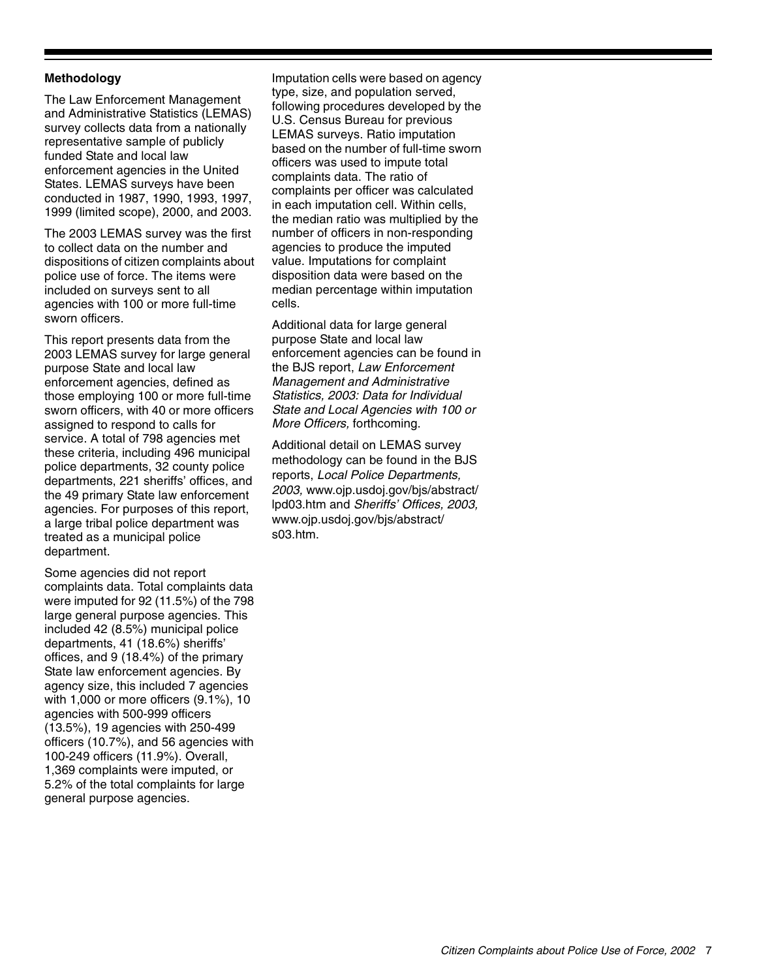#### **Methodology**

The Law Enforcement Management and Administrative Statistics (LEMAS) survey collects data from a nationally representative sample of publicly funded State and local law enforcement agencies in the United States. LEMAS surveys have been conducted in 1987, 1990, 1993, 1997, 1999 (limited scope), 2000, and 2003.

The 2003 LEMAS survey was the first to collect data on the number and dispositions of citizen complaints about police use of force. The items were included on surveys sent to all agencies with 100 or more full-time sworn officers.

This report presents data from the 2003 LEMAS survey for large general purpose State and local law enforcement agencies, defined as those employing 100 or more full-time sworn officers, with 40 or more officers assigned to respond to calls for service. A total of 798 agencies met these criteria, including 496 municipal police departments, 32 county police departments, 221 sheriffs' offices, and the 49 primary State law enforcement agencies. For purposes of this report, a large tribal police department was treated as a municipal police department.

Some agencies did not report complaints data. Total complaints data were imputed for 92 (11.5%) of the 798 large general purpose agencies. This included 42 (8.5%) municipal police departments, 41 (18.6%) sheriffs' offices, and 9 (18.4%) of the primary State law enforcement agencies. By agency size, this included 7 agencies with 1,000 or more officers (9.1%), 10 agencies with 500-999 officers (13.5%), 19 agencies with 250-499 officers (10.7%), and 56 agencies with 100-249 officers (11.9%). Overall, 1,369 complaints were imputed, or 5.2% of the total complaints for large general purpose agencies.

Imputation cells were based on agency type, size, and population served, following procedures developed by the U.S. Census Bureau for previous LEMAS surveys. Ratio imputation based on the number of full-time sworn officers was used to impute total complaints data. The ratio of complaints per officer was calculated in each imputation cell. Within cells, the median ratio was multiplied by the number of officers in non-responding agencies to produce the imputed value. Imputations for complaint disposition data were based on the median percentage within imputation cells.

Additional data for large general purpose State and local law enforcement agencies can be found in the BJS report, Law Enforcement Management and Administrative Statistics, 2003: Data for Individual State and Local Agencies with 100 or More Officers, forthcoming.

Additional detail on LEMAS survey methodology can be found in the BJS reports, Local Police Departments, 2003, www.ojp.usdoj.gov/bjs/abstract/ lpd03.htm and Sheriffs' Offices, 2003, www.ojp.usdoj.gov/bjs/abstract/ s03.htm.